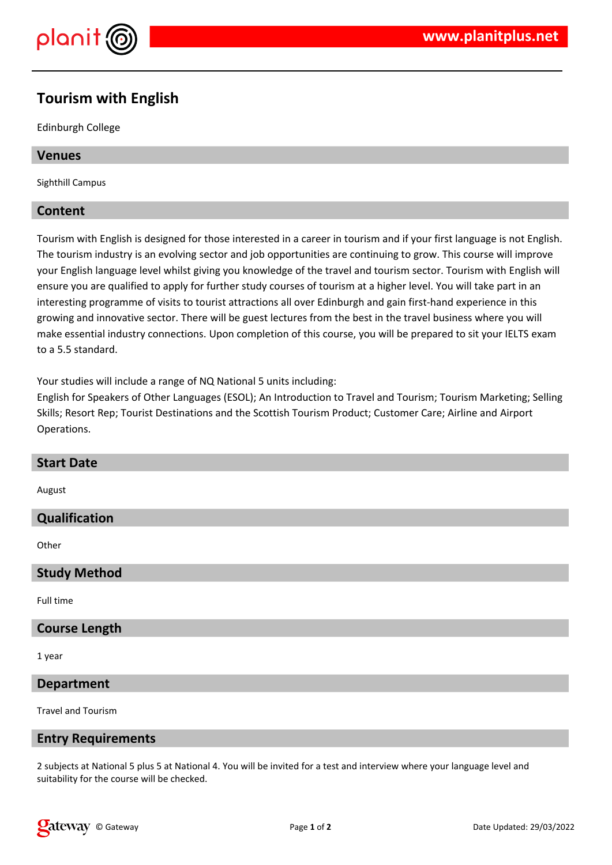

# **Tourism with English**

Edinburgh College

### **Venues**

Sighthill Campus

### **Content**

Tourism with English is designed for those interested in a career in tourism and if your first language is not English. The tourism industry is an evolving sector and job opportunities are continuing to grow. This course will improve your English language level whilst giving you knowledge of the travel and tourism sector. Tourism with English will ensure you are qualified to apply for further study courses of tourism at a higher level. You will take part in an interesting programme of visits to tourist attractions all over Edinburgh and gain first-hand experience in this growing and innovative sector. There will be guest lectures from the best in the travel business where you will make essential industry connections. Upon completion of this course, you will be prepared to sit your IELTS exam to a 5.5 standard.

Your studies will include a range of NQ National 5 units including:

English for Speakers of Other Languages (ESOL); An Introduction to Travel and Tourism; Tourism Marketing; Selling Skills; Resort Rep; Tourist Destinations and the Scottish Tourism Product; Customer Care; Airline and Airport Operations.

| <b>Start Date</b>    |
|----------------------|
| August               |
| Qualification        |
| Other                |
| <b>Study Method</b>  |
| Full time            |
| <b>Course Length</b> |
| 1 year               |
| <b>Department</b>    |

Travel and Tourism

### **Entry Requirements**

2 subjects at National 5 plus 5 at National 4. You will be invited for a test and interview where your language level and suitability for the course will be checked.